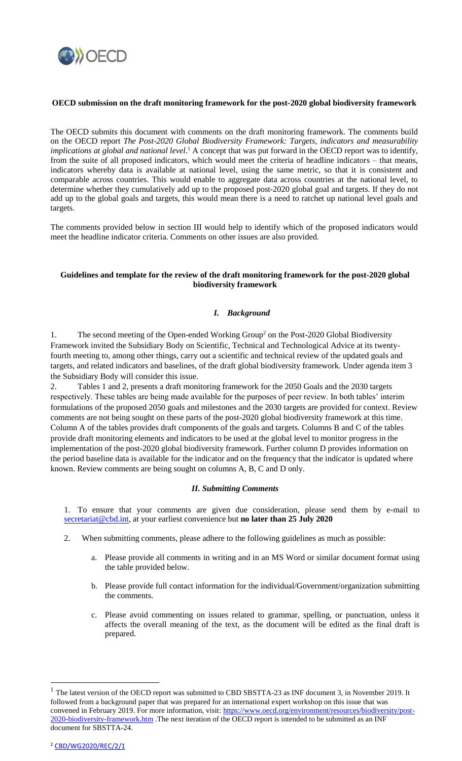

#### **OECD submission on the draft monitoring framework for the post-2020 global biodiversity framework**

The OECD submits this document with comments on the draft monitoring framework. The comments build on the OECD report *The Post-2020 Global Biodiversity Framework: Targets, indicators and measurability*  implications at global and national level.<sup>1</sup> A concept that was put forward in the OECD report was to identify, from the suite of all proposed indicators, which would meet the criteria of headline indicators – that means, indicators whereby data is available at national level, using the same metric, so that it is consistent and comparable across countries. This would enable to aggregate data across countries at the national level, to determine whether they cumulatively add up to the proposed post-2020 global goal and targets. If they do not add up to the global goals and targets, this would mean there is a need to ratchet up national level goals and targets.

The comments provided below in section III would help to identify which of the proposed indicators would meet the headline indicator criteria. Comments on other issues are also provided.

#### **Guidelines and template for the review of the draft monitoring framework for the post-2020 global biodiversity framework**

## *I. Background*

1. The second meeting of the Open-ended Working Group<sup>2</sup> on the Post-2020 Global Biodiversity Framework invited the Subsidiary Body on Scientific, Technical and Technological Advice at its twentyfourth meeting to, among other things, carry out a scientific and technical review of the updated goals and targets, and related indicators and baselines, of the draft global biodiversity framework. Under agenda item 3 the Subsidiary Body will consider this issue.

2. Tables 1 and 2, presents a draft monitoring framework for the 2050 Goals and the 2030 targets respectively. These tables are being made available for the purposes of peer review. In both tables' interim formulations of the proposed 2050 goals and milestones and the 2030 targets are provided for context. Review comments are not being sought on these parts of the post-2020 global biodiversity framework at this time. Column A of the tables provides draft components of the goals and targets. Columns B and C of the tables provide draft monitoring elements and indicators to be used at the global level to monitor progress in the implementation of the post-2020 global biodiversity framework. Further column D provides information on the period baseline data is available for the indicator and on the frequency that the indicator is updated where known. Review comments are being sought on columns A, B, C and D only.

#### *II. Submitting Comments*

1. To ensure that your comments are given due consideration, please send them by e-mail to [secretariat@cbd.int,](mailto:secretariat@cbd.int) at your earliest convenience but **no later than 25 July 2020**

- 2. When submitting comments, please adhere to the following guidelines as much as possible:
	- a. Please provide all comments in writing and in an MS Word or similar document format using the table provided below.
	- b. Please provide full contact information for the individual/Government/organization submitting the comments.
	- c. Please avoid commenting on issues related to grammar, spelling, or punctuation, unless it affects the overall meaning of the text, as the document will be edited as the final draft is prepared.

 $\overline{a}$ 

 $1$  The latest version of the OECD report was submitted to CBD SBSTTA-23 as INF document 3, in November 2019. It followed from a background paper that was prepared for an international expert workshop on this issue that was convened in February 2019. For more information, visit: [https://www.oecd.org/environment/resources/biodiversity/post-](https://www.oecd.org/environment/resources/biodiversity/post-2020-biodiversity-framework.htm)[2020-biodiversity-framework.htm](https://www.oecd.org/environment/resources/biodiversity/post-2020-biodiversity-framework.htm) .The next iteration of the OECD report is intended to be submitted as an INF document for SBSTTA-24.

<sup>2</sup> [CBD/WG2020/REC/2/1](https://www.cbd.int/doc/recommendations/wg2020-02/wg2020-02-rec-01-en.pdf)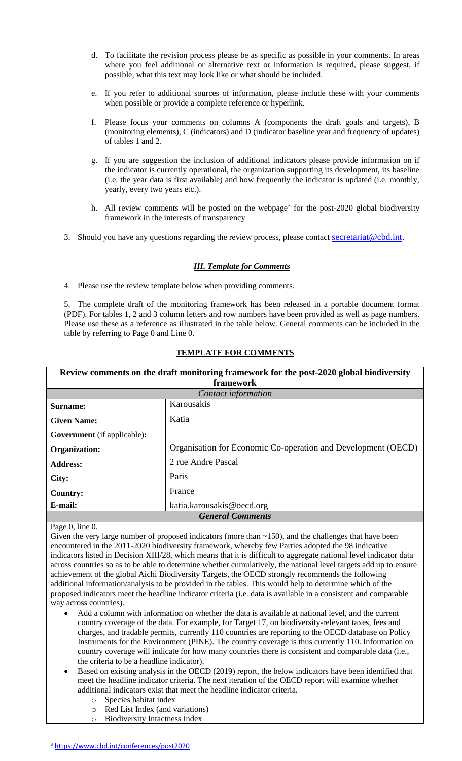- d. To facilitate the revision process please be as specific as possible in your comments. In areas where you feel additional or alternative text or information is required, please suggest, if possible, what this text may look like or what should be included.
- e. If you refer to additional sources of information, please include these with your comments when possible or provide a complete reference or hyperlink.
- f. Please focus your comments on columns A (components the draft goals and targets), B (monitoring elements), C (indicators) and D (indicator baseline year and frequency of updates) of tables 1 and 2.
- g. If you are suggestion the inclusion of additional indicators please provide information on if the indicator is currently operational, the organization supporting its development, its baseline (i.e. the year data is first available) and how frequently the indicator is updated (i.e. monthly, yearly, every two years etc.).
- h. All review comments will be posted on the webpage<sup>3</sup> for the post-2020 global biodiversity framework in the interests of transparency
- 3. Should you have any questions regarding the review process, please contact secretariat  $@{\text{cbd}}$ .int.

## *III. Template for Comments*

4. Please use the review template below when providing comments.

5. The complete draft of the monitoring framework has been released in a portable document format (PDF). For tables 1, 2 and 3 column letters and row numbers have been provided as well as page numbers. Please use these as a reference as illustrated in the table below. General comments can be included in the table by referring to Page 0 and Line 0.

# **TEMPLATE FOR COMMENTS**

|                                    | Review comments on the draft monitoring framework for the post-2020 global biodiversity |  |  |
|------------------------------------|-----------------------------------------------------------------------------------------|--|--|
| framework                          |                                                                                         |  |  |
|                                    | Contact information                                                                     |  |  |
| Surname:                           | Karousakis                                                                              |  |  |
| <b>Given Name:</b>                 | Katia                                                                                   |  |  |
| <b>Government</b> (if applicable): |                                                                                         |  |  |
| Organization:                      | Organisation for Economic Co-operation and Development (OECD)                           |  |  |
| <b>Address:</b>                    | 2 rue Andre Pascal                                                                      |  |  |
| City:                              | Paris                                                                                   |  |  |
| <b>Country:</b>                    | France                                                                                  |  |  |
| E-mail:                            | katia.karousakis@oecd.org                                                               |  |  |
| <b>General Comments</b>            |                                                                                         |  |  |

Page 0, line 0.

 $\overline{a}$ 

Given the very large number of proposed indicators (more than  $\sim$ 150), and the challenges that have been encountered in the 2011-2020 biodiversity framework, whereby few Parties adopted the 98 indicative indicators listed in Decision XIII/28, which means that it is difficult to aggregate national level indicator data across countries so as to be able to determine whether cumulatively, the national level targets add up to ensure achievement of the global Aichi Biodiversity Targets, the OECD strongly recommends the following additional information/analysis to be provided in the tables. This would help to determine which of the proposed indicators meet the headline indicator criteria (i.e. data is available in a consistent and comparable way across countries).

- Add a column with information on whether the data is available at national level, and the current country coverage of the data. For example, for Target 17, on biodiversity-relevant taxes, fees and charges, and tradable permits, currently 110 countries are reporting to the OECD database on Policy Instruments for the Environment (PINE). The country coverage is thus currently 110. Information on country coverage will indicate for how many countries there is consistent and comparable data (i.e., the criteria to be a headline indicator).
- Based on existing analysis in the OECD (2019) report, the below indicators have been identified that meet the headline indicator criteria. The next iteration of the OECD report will examine whether additional indicators exist that meet the headline indicator criteria.
	- o Species habitat index
	- o Red List Index (and variations)
	- o Biodiversity Intactness Index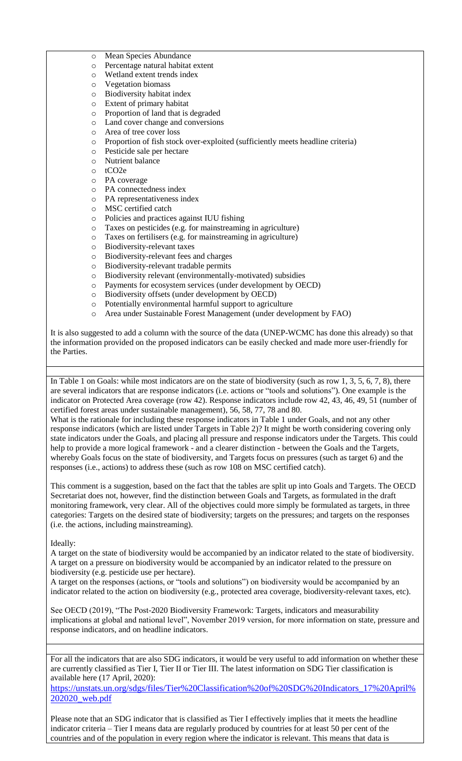- o Mean Species Abundance
- o Percentage natural habitat extent
- o Wetland extent trends index
- o Vegetation biomass
- o Biodiversity habitat index
- o Extent of primary habitat
- o Proportion of land that is degraded
- o Land cover change and conversions
- o Area of tree cover loss
- o Proportion of fish stock over-exploited (sufficiently meets headline criteria)
- o Pesticide sale per hectare
- o Nutrient balance
- o tCO2e
- o PA coverage
- o PA connectedness index
- o PA representativeness index
- o MSC certified catch
- o Policies and practices against IUU fishing
- o Taxes on pesticides (e.g. for mainstreaming in agriculture)
- o Taxes on fertilisers (e.g. for mainstreaming in agriculture)
- o Biodiversity-relevant taxes
- o Biodiversity-relevant fees and charges
- o Biodiversity-relevant tradable permits
- o Biodiversity relevant (environmentally-motivated) subsidies
- o Payments for ecosystem services (under development by OECD)
- o Biodiversity offsets (under development by OECD)
- o Potentially environmental harmful support to agriculture
- o Area under Sustainable Forest Management (under development by FAO)

It is also suggested to add a column with the source of the data (UNEP-WCMC has done this already) so that the information provided on the proposed indicators can be easily checked and made more user-friendly for the Parties.

In Table 1 on Goals: while most indicators are on the state of biodiversity (such as row 1, 3, 5, 6, 7, 8), there are several indicators that are response indicators (i.e. actions or "tools and solutions"). One example is the indicator on Protected Area coverage (row 42). Response indicators include row 42, 43, 46, 49, 51 (number of certified forest areas under sustainable management), 56, 58, 77, 78 and 80.

What is the rationale for including these response indicators in Table 1 under Goals, and not any other response indicators (which are listed under Targets in Table 2)? It might be worth considering covering only state indicators under the Goals, and placing all pressure and response indicators under the Targets. This could help to provide a more logical framework - and a clearer distinction - between the Goals and the Targets, whereby Goals focus on the state of biodiversity, and Targets focus on pressures (such as target 6) and the responses (i.e., actions) to address these (such as row 108 on MSC certified catch).

This comment is a suggestion, based on the fact that the tables are split up into Goals and Targets. The OECD Secretariat does not, however, find the distinction between Goals and Targets, as formulated in the draft monitoring framework, very clear. All of the objectives could more simply be formulated as targets, in three categories: Targets on the desired state of biodiversity; targets on the pressures; and targets on the responses (i.e. the actions, including mainstreaming).

Ideally:

A target on the state of biodiversity would be accompanied by an indicator related to the state of biodiversity. A target on a pressure on biodiversity would be accompanied by an indicator related to the pressure on biodiversity (e.g. pesticide use per hectare).

A target on the responses (actions, or "tools and solutions") on biodiversity would be accompanied by an indicator related to the action on biodiversity (e.g., protected area coverage, biodiversity-relevant taxes, etc).

See OECD (2019), "The Post-2020 Biodiversity Framework: Targets, indicators and measurability implications at global and national level", November 2019 version, for more information on state, pressure and response indicators, and on headline indicators.

For all the indicators that are also SDG indicators, it would be very useful to add information on whether these are currently classified as Tier I, Tier II or Tier III. The latest information on SDG Tier classification is available here (17 April, 2020):

[https://unstats.un.org/sdgs/files/Tier%20Classification%20of%20SDG%20Indicators\\_17%20April%](https://unstats.un.org/sdgs/files/Tier%20Classification%20of%20SDG%20Indicators_17%20April%202020_web.pdf) [202020\\_web.pdf](https://unstats.un.org/sdgs/files/Tier%20Classification%20of%20SDG%20Indicators_17%20April%202020_web.pdf)

Please note that an SDG indicator that is classified as Tier I effectively implies that it meets the headline indicator criteria – Tier I means data are regularly produced by countries for at least 50 per cent of the countries and of the population in every region where the indicator is relevant. This means that data is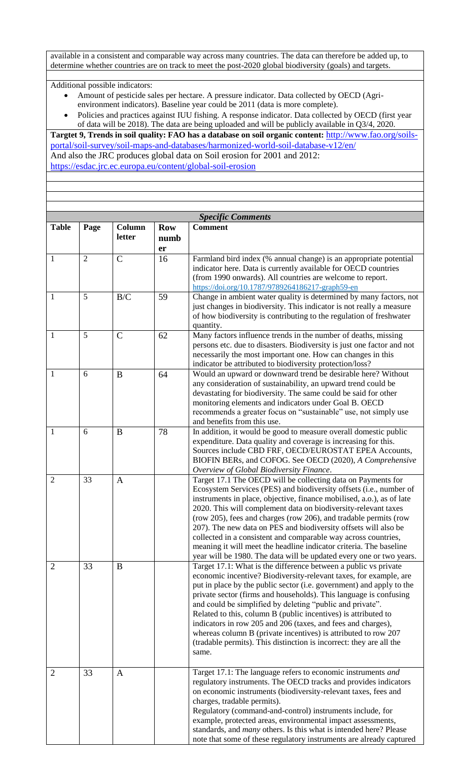available in a consistent and comparable way across many countries. The data can therefore be added up, to determine whether countries are on track to meet the post-2020 global biodiversity (goals) and targets.

Additional possible indicators:

- Amount of pesticide sales per hectare. A pressure indicator. Data collected by OECD (Agrienvironment indicators). Baseline year could be 2011 (data is more complete).
- Policies and practices against IUU fishing. A response indicator. Data collected by OECD (first year of data will be 2018). The data are being uploaded and will be publicly available in Q3/4, 2020.

**Targtet 9, Trends in soil quality: FAO has a database on soil organic content:** [http://www.fao.org/soils](http://www.fao.org/soils-portal/soil-survey/soil-maps-and-databases/harmonized-world-soil-database-v12/en/)[portal/soil-survey/soil-maps-and-databases/harmonized-world-soil-database-v12/en/](http://www.fao.org/soils-portal/soil-survey/soil-maps-and-databases/harmonized-world-soil-database-v12/en/) And also the JRC produces global data on Soil erosion for 2001 and 2012: <https://esdac.jrc.ec.europa.eu/content/global-soil-erosion>

| <b>Specific Comments</b> |                |                  |                          |                                                                                                                                                                                                                                                                                                                                                                                                                                                                                                                                                                                                                                     |
|--------------------------|----------------|------------------|--------------------------|-------------------------------------------------------------------------------------------------------------------------------------------------------------------------------------------------------------------------------------------------------------------------------------------------------------------------------------------------------------------------------------------------------------------------------------------------------------------------------------------------------------------------------------------------------------------------------------------------------------------------------------|
| <b>Table</b>             | Page           | Column<br>letter | <b>Row</b><br>numb<br>er | <b>Comment</b>                                                                                                                                                                                                                                                                                                                                                                                                                                                                                                                                                                                                                      |
| 1                        | $\overline{2}$ | $\mathbf C$      | 16                       | Farmland bird index (% annual change) is an appropriate potential<br>indicator here. Data is currently available for OECD countries<br>(from 1990 onwards). All countries are welcome to report.<br>https://doi.org/10.1787/9789264186217-graph59-en                                                                                                                                                                                                                                                                                                                                                                                |
| $\mathbf{1}$             | 5              | B/C              | 59                       | Change in ambient water quality is determined by many factors, not<br>just changes in biodiversity. This indicator is not really a measure<br>of how biodiversity is contributing to the regulation of freshwater<br>quantity.                                                                                                                                                                                                                                                                                                                                                                                                      |
| $\mathbf{1}$             | 5              | $\overline{C}$   | 62                       | Many factors influence trends in the number of deaths, missing<br>persons etc. due to disasters. Biodiversity is just one factor and not<br>necessarily the most important one. How can changes in this<br>indicator be attributed to biodiversity protection/loss?                                                                                                                                                                                                                                                                                                                                                                 |
| 1                        | 6              | B                | 64                       | Would an upward or downward trend be desirable here? Without<br>any consideration of sustainability, an upward trend could be<br>devastating for biodiversity. The same could be said for other<br>monitoring elements and indicators under Goal B. OECD<br>recommends a greater focus on "sustainable" use, not simply use<br>and benefits from this use.                                                                                                                                                                                                                                                                          |
| 1                        | 6              | B                | 78                       | In addition, it would be good to measure overall domestic public<br>expenditure. Data quality and coverage is increasing for this.<br>Sources include CBD FRF, OECD/EUROSTAT EPEA Accounts,<br>BIOFIN BERs, and COFOG. See OECD (2020), A Comprehensive<br>Overview of Global Biodiversity Finance.                                                                                                                                                                                                                                                                                                                                 |
| $\overline{2}$           | 33             | $\mathbf{A}$     |                          | Target 17.1 The OECD will be collecting data on Payments for<br>Ecosystem Services (PES) and biodiversity offsets (i.e., number of<br>instruments in place, objective, finance mobilised, a.o.), as of late<br>2020. This will complement data on biodiversity-relevant taxes<br>(row 205), fees and charges (row 206), and tradable permits (row<br>207). The new data on PES and biodiversity offsets will also be<br>collected in a consistent and comparable way across countries,<br>meaning it will meet the headline indicator criteria. The baseline<br>year will be 1980. The data will be updated every one or two years. |
| $\overline{2}$           | 33             | B                |                          | Target 17.1: What is the difference between a public vs private<br>economic incentive? Biodiversity-relevant taxes, for example, are<br>put in place by the public sector (i.e. government) and apply to the<br>private sector (firms and households). This language is confusing<br>and could be simplified by deleting "public and private".<br>Related to this, column B (public incentives) is attributed to<br>indicators in row 205 and 206 (taxes, and fees and charges),<br>whereas column B (private incentives) is attributed to row 207<br>(tradable permits). This distinction is incorrect: they are all the<br>same.  |
| $\overline{2}$           | 33             | $\mathbf{A}$     |                          | Target 17.1: The language refers to economic instruments and<br>regulatory instruments. The OECD tracks and provides indicators<br>on economic instruments (biodiversity-relevant taxes, fees and<br>charges, tradable permits).<br>Regulatory (command-and-control) instruments include, for<br>example, protected areas, environmental impact assessments,<br>standards, and <i>many</i> others. Is this what is intended here? Please<br>note that some of these regulatory instruments are already captured                                                                                                                     |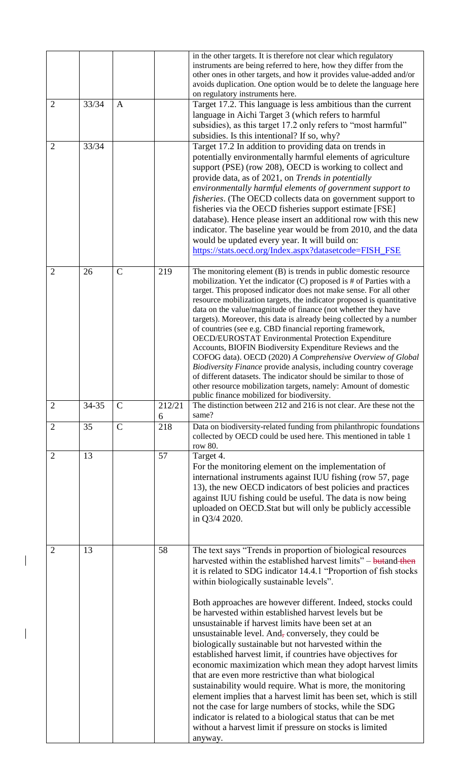|                |       |               |             | in the other targets. It is therefore not clear which regulatory<br>instruments are being referred to here, how they differ from the<br>other ones in other targets, and how it provides value-added and/or<br>avoids duplication. One option would be to delete the language here<br>on regulatory instruments here.                                                                                                                                                                                                                                                                                                                                                                                                                                                                                                                                                                                                                                                                                                                                                |
|----------------|-------|---------------|-------------|----------------------------------------------------------------------------------------------------------------------------------------------------------------------------------------------------------------------------------------------------------------------------------------------------------------------------------------------------------------------------------------------------------------------------------------------------------------------------------------------------------------------------------------------------------------------------------------------------------------------------------------------------------------------------------------------------------------------------------------------------------------------------------------------------------------------------------------------------------------------------------------------------------------------------------------------------------------------------------------------------------------------------------------------------------------------|
| $\overline{2}$ | 33/34 | $\mathbf{A}$  |             | Target 17.2. This language is less ambitious than the current<br>language in Aichi Target 3 (which refers to harmful<br>subsidies), as this target 17.2 only refers to "most harmful"<br>subsidies. Is this intentional? If so, why?                                                                                                                                                                                                                                                                                                                                                                                                                                                                                                                                                                                                                                                                                                                                                                                                                                 |
| $\overline{2}$ | 33/34 |               |             | Target 17.2 In addition to providing data on trends in<br>potentially environmentally harmful elements of agriculture<br>support (PSE) (row 208), OECD is working to collect and<br>provide data, as of 2021, on Trends in potentially<br>environmentally harmful elements of government support to<br>fisheries. (The OECD collects data on government support to<br>fisheries via the OECD fisheries support estimate [FSE]<br>database). Hence please insert an additional row with this new<br>indicator. The baseline year would be from 2010, and the data<br>would be updated every year. It will build on:<br>https://stats.oecd.org/Index.aspx?datasetcode=FISH_FSE                                                                                                                                                                                                                                                                                                                                                                                         |
| $\overline{2}$ | 26    | $\mathcal{C}$ | 219         | The monitoring element (B) is trends in public domestic resource<br>mobilization. Yet the indicator $(C)$ proposed is # of Parties with a<br>target. This proposed indicator does not make sense. For all other<br>resource mobilization targets, the indicator proposed is quantitative<br>data on the value/magnitude of finance (not whether they have<br>targets). Moreover, this data is already being collected by a number<br>of countries (see e.g. CBD financial reporting framework,<br><b>OECD/EUROSTAT Environmental Protection Expenditure</b><br>Accounts, BIOFIN Biodiversity Expenditure Reviews and the<br>COFOG data). OECD (2020) A Comprehensive Overview of Global<br>Biodiversity Finance provide analysis, including country coverage<br>of different datasets. The indicator should be similar to those of<br>other resource mobilization targets, namely: Amount of domestic<br>public finance mobilized for biodiversity.                                                                                                                  |
| $\overline{2}$ | 34-35 | $\mathsf{C}$  | 212/21<br>6 | The distinction between 212 and 216 is not clear. Are these not the<br>same?                                                                                                                                                                                                                                                                                                                                                                                                                                                                                                                                                                                                                                                                                                                                                                                                                                                                                                                                                                                         |
| $\overline{2}$ | 35    | $\mathsf{C}$  | 218         | Data on biodiversity-related funding from philanthropic foundations<br>collected by OECD could be used here. This mentioned in table 1<br>row 80.                                                                                                                                                                                                                                                                                                                                                                                                                                                                                                                                                                                                                                                                                                                                                                                                                                                                                                                    |
| $\overline{2}$ | 13    |               | 57          | Target 4.<br>For the monitoring element on the implementation of<br>international instruments against IUU fishing (row 57, page<br>13), the new OECD indicators of best policies and practices<br>against IUU fishing could be useful. The data is now being<br>uploaded on OECD. Stat but will only be publicly accessible<br>in Q3/4 2020.                                                                                                                                                                                                                                                                                                                                                                                                                                                                                                                                                                                                                                                                                                                         |
| $\overline{2}$ | 13    |               | 58          | The text says "Trends in proportion of biological resources<br>harvested within the established harvest limits" – butand then<br>it is related to SDG indicator 14.4.1 "Proportion of fish stocks<br>within biologically sustainable levels".<br>Both approaches are however different. Indeed, stocks could<br>be harvested within established harvest levels but be<br>unsustainable if harvest limits have been set at an<br>unsustainable level. And, conversely, they could be<br>biologically sustainable but not harvested within the<br>established harvest limit, if countries have objectives for<br>economic maximization which mean they adopt harvest limits<br>that are even more restrictive than what biological<br>sustainability would require. What is more, the monitoring<br>element implies that a harvest limit has been set, which is still<br>not the case for large numbers of stocks, while the SDG<br>indicator is related to a biological status that can be met<br>without a harvest limit if pressure on stocks is limited<br>anyway. |

 $\overline{\phantom{a}}$ 

 $\begin{array}{c} \rule{0pt}{2ex} \rule{0pt}{2ex} \rule{0pt}{2ex} \rule{0pt}{2ex} \rule{0pt}{2ex} \rule{0pt}{2ex} \rule{0pt}{2ex} \rule{0pt}{2ex} \rule{0pt}{2ex} \rule{0pt}{2ex} \rule{0pt}{2ex} \rule{0pt}{2ex} \rule{0pt}{2ex} \rule{0pt}{2ex} \rule{0pt}{2ex} \rule{0pt}{2ex} \rule{0pt}{2ex} \rule{0pt}{2ex} \rule{0pt}{2ex} \rule{0pt}{2ex} \rule{0pt}{2ex} \rule{0pt}{2ex} \rule{0pt}{2ex} \rule{0pt}{$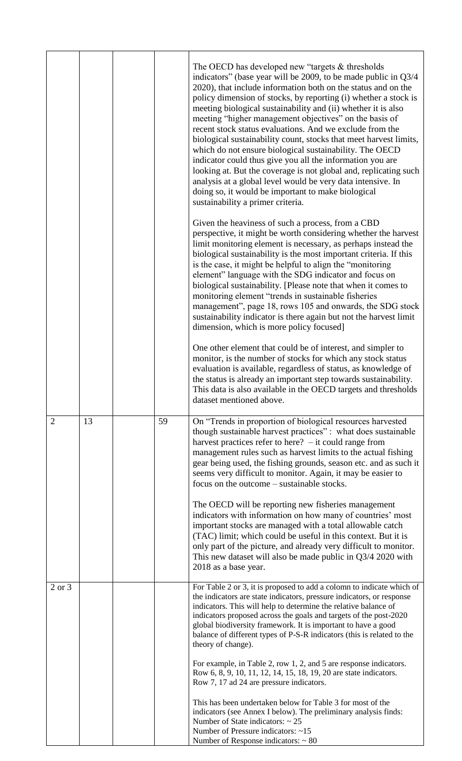|                |    |    | The OECD has developed new "targets & thresholds"<br>indicators" (base year will be 2009, to be made public in Q3/4<br>2020), that include information both on the status and on the<br>policy dimension of stocks, by reporting (i) whether a stock is<br>meeting biological sustainability and (ii) whether it is also<br>meeting "higher management objectives" on the basis of<br>recent stock status evaluations. And we exclude from the<br>biological sustainability count, stocks that meet harvest limits,<br>which do not ensure biological sustainability. The OECD<br>indicator could thus give you all the information you are<br>looking at. But the coverage is not global and, replicating such<br>analysis at a global level would be very data intensive. In<br>doing so, it would be important to make biological<br>sustainability a primer criteria. |
|----------------|----|----|---------------------------------------------------------------------------------------------------------------------------------------------------------------------------------------------------------------------------------------------------------------------------------------------------------------------------------------------------------------------------------------------------------------------------------------------------------------------------------------------------------------------------------------------------------------------------------------------------------------------------------------------------------------------------------------------------------------------------------------------------------------------------------------------------------------------------------------------------------------------------|
|                |    |    | Given the heaviness of such a process, from a CBD<br>perspective, it might be worth considering whether the harvest<br>limit monitoring element is necessary, as perhaps instead the<br>biological sustainability is the most important criteria. If this<br>is the case, it might be helpful to align the "monitoring"<br>element" language with the SDG indicator and focus on<br>biological sustainability. [Please note that when it comes to<br>monitoring element "trends in sustainable fisheries<br>management", page 18, rows 105 and onwards, the SDG stock<br>sustainability indicator is there again but not the harvest limit<br>dimension, which is more policy focused]                                                                                                                                                                                    |
|                |    |    | One other element that could be of interest, and simpler to<br>monitor, is the number of stocks for which any stock status<br>evaluation is available, regardless of status, as knowledge of<br>the status is already an important step towards sustainability.<br>This data is also available in the OECD targets and thresholds<br>dataset mentioned above.                                                                                                                                                                                                                                                                                                                                                                                                                                                                                                             |
| $\overline{2}$ | 13 | 59 | On "Trends in proportion of biological resources harvested<br>though sustainable harvest practices": what does sustainable<br>harvest practices refer to here? $-$ it could range from<br>management rules such as harvest limits to the actual fishing<br>gear being used, the fishing grounds, season etc. and as such it<br>seems very difficult to monitor. Again, it may be easier to<br>focus on the outcome – sustainable stocks.                                                                                                                                                                                                                                                                                                                                                                                                                                  |
|                |    |    | The OECD will be reporting new fisheries management<br>indicators with information on how many of countries' most<br>important stocks are managed with a total allowable catch<br>(TAC) limit; which could be useful in this context. But it is<br>only part of the picture, and already very difficult to monitor.<br>This new dataset will also be made public in $Q3/4$ 2020 with<br>2018 as a base year.                                                                                                                                                                                                                                                                                                                                                                                                                                                              |
| $2$ or $3$     |    |    | For Table 2 or 3, it is proposed to add a colomn to indicate which of<br>the indicators are state indicators, pressure indicators, or response<br>indicators. This will help to determine the relative balance of<br>indicators proposed across the goals and targets of the post-2020<br>global biodiversity framework. It is important to have a good<br>balance of different types of P-S-R indicators (this is related to the<br>theory of change).                                                                                                                                                                                                                                                                                                                                                                                                                   |
|                |    |    | For example, in Table 2, row 1, 2, and 5 are response indicators.<br>Row 6, 8, 9, 10, 11, 12, 14, 15, 18, 19, 20 are state indicators.<br>Row 7, 17 ad 24 are pressure indicators.                                                                                                                                                                                                                                                                                                                                                                                                                                                                                                                                                                                                                                                                                        |
|                |    |    | This has been undertaken below for Table 3 for most of the<br>indicators (see Annex I below). The preliminary analysis finds:<br>Number of State indicators: $\sim 25$<br>Number of Pressure indicators: ~15<br>Number of Response indicators: $\sim 80$                                                                                                                                                                                                                                                                                                                                                                                                                                                                                                                                                                                                                  |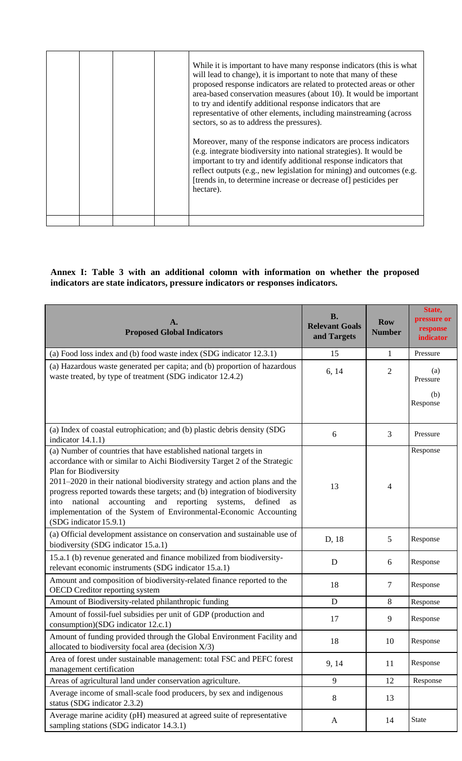| While it is important to have many response indicators (this is what<br>will lead to change), it is important to note that many of these<br>proposed response indicators are related to protected areas or other<br>area-based conservation measures (about 10). It would be important<br>to try and identify additional response indicators that are<br>representative of other elements, including mainstreaming (across<br>sectors, so as to address the pressures). |
|-------------------------------------------------------------------------------------------------------------------------------------------------------------------------------------------------------------------------------------------------------------------------------------------------------------------------------------------------------------------------------------------------------------------------------------------------------------------------|
| Moreover, many of the response indicators are process indicators<br>(e.g. integrate biodiversity into national strategies). It would be<br>important to try and identify additional response indicators that<br>reflect outputs (e.g., new legislation for mining) and outcomes (e.g.<br>[trends in, to determine increase or decrease of] pesticides per<br>hectare).                                                                                                  |
|                                                                                                                                                                                                                                                                                                                                                                                                                                                                         |

# **Annex I: Table 3 with an additional colomn with information on whether the proposed indicators are state indicators, pressure indicators or responses indicators.**

| A.<br><b>Proposed Global Indicators</b>                                                                                                                                                                                                                                                                                                                                                                                                                                                                                 | <b>B.</b><br><b>Relevant Goals</b><br>and Targets | <b>Row</b><br><b>Number</b> | State,<br>pressure or<br>response<br>indicator |
|-------------------------------------------------------------------------------------------------------------------------------------------------------------------------------------------------------------------------------------------------------------------------------------------------------------------------------------------------------------------------------------------------------------------------------------------------------------------------------------------------------------------------|---------------------------------------------------|-----------------------------|------------------------------------------------|
| (a) Food loss index and (b) food waste index (SDG indicator 12.3.1)                                                                                                                                                                                                                                                                                                                                                                                                                                                     | 15                                                | 1                           | Pressure                                       |
| (a) Hazardous waste generated per capita; and (b) proportion of hazardous<br>waste treated, by type of treatment (SDG indicator 12.4.2)                                                                                                                                                                                                                                                                                                                                                                                 | 6, 14                                             | $\overline{2}$              | (a)<br>Pressure<br>(b)<br>Response             |
| (a) Index of coastal eutrophication; and (b) plastic debris density (SDG<br>indicator $14.1.1$ )                                                                                                                                                                                                                                                                                                                                                                                                                        | 6                                                 | 3                           | Pressure                                       |
| (a) Number of countries that have established national targets in<br>accordance with or similar to Aichi Biodiversity Target 2 of the Strategic<br>Plan for Biodiversity<br>$2011-2020$ in their national biodiversity strategy and action plans and the<br>progress reported towards these targets; and (b) integration of biodiversity<br>national<br>accounting<br>and reporting<br>systems,<br>defined<br>into<br>as<br>implementation of the System of Environmental-Economic Accounting<br>(SDG indicator 15.9.1) | 13                                                | $\overline{4}$              | Response                                       |
| (a) Official development assistance on conservation and sustainable use of<br>biodiversity (SDG indicator 15.a.1)                                                                                                                                                                                                                                                                                                                                                                                                       | D, 18                                             | 5                           | Response                                       |
| 15.a.1 (b) revenue generated and finance mobilized from biodiversity-<br>relevant economic instruments (SDG indicator 15.a.1)                                                                                                                                                                                                                                                                                                                                                                                           | D                                                 | 6                           | Response                                       |
| Amount and composition of biodiversity-related finance reported to the<br><b>OECD</b> Creditor reporting system                                                                                                                                                                                                                                                                                                                                                                                                         | 18                                                | 7                           | Response                                       |
| Amount of Biodiversity-related philanthropic funding                                                                                                                                                                                                                                                                                                                                                                                                                                                                    | D                                                 | 8                           | Response                                       |
| Amount of fossil-fuel subsidies per unit of GDP (production and<br>consumption)(SDG indicator 12.c.1)                                                                                                                                                                                                                                                                                                                                                                                                                   | 17                                                | 9                           | Response                                       |
| Amount of funding provided through the Global Environment Facility and<br>allocated to biodiversity focal area (decision $X/3$ )                                                                                                                                                                                                                                                                                                                                                                                        | 18                                                | 10                          | Response                                       |
| Area of forest under sustainable management: total FSC and PEFC forest<br>management certification                                                                                                                                                                                                                                                                                                                                                                                                                      | 9, 14                                             | 11                          | Response                                       |
| Areas of agricultural land under conservation agriculture.                                                                                                                                                                                                                                                                                                                                                                                                                                                              | 9                                                 | 12                          | Response                                       |
| Average income of small-scale food producers, by sex and indigenous<br>status (SDG indicator 2.3.2)                                                                                                                                                                                                                                                                                                                                                                                                                     | 8                                                 | 13                          |                                                |
| Average marine acidity (pH) measured at agreed suite of representative<br>sampling stations (SDG indicator 14.3.1)                                                                                                                                                                                                                                                                                                                                                                                                      | A                                                 | 14                          | <b>State</b>                                   |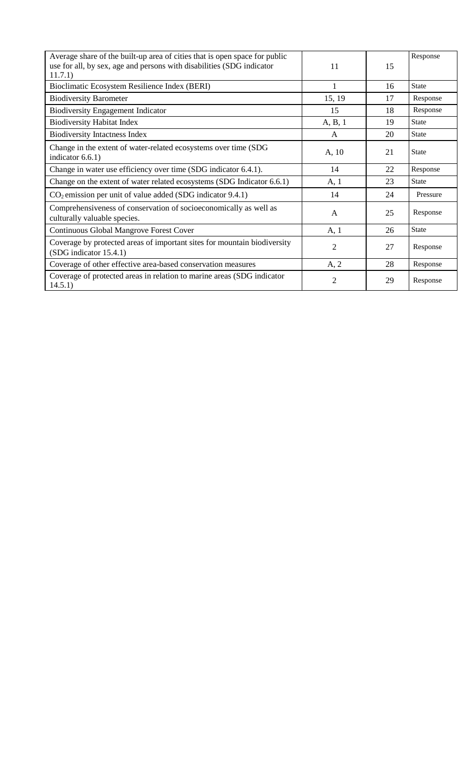| Average share of the built-up area of cities that is open space for public<br>use for all, by sex, age and persons with disabilities (SDG indicator<br>11.7.1) | 11             | 15 | Response     |
|----------------------------------------------------------------------------------------------------------------------------------------------------------------|----------------|----|--------------|
| Bioclimatic Ecosystem Resilience Index (BERI)                                                                                                                  | 1              | 16 | <b>State</b> |
| <b>Biodiversity Barometer</b>                                                                                                                                  | 15, 19         | 17 | Response     |
| <b>Biodiversity Engagement Indicator</b>                                                                                                                       | 15             | 18 | Response     |
| <b>Biodiversity Habitat Index</b>                                                                                                                              | A, B, 1        | 19 | <b>State</b> |
| <b>Biodiversity Intactness Index</b>                                                                                                                           | $\mathsf{A}$   | 20 | <b>State</b> |
| Change in the extent of water-related ecosystems over time (SDG<br>indicator $6.6.1$ )                                                                         | A, 10          | 21 | <b>State</b> |
| Change in water use efficiency over time (SDG indicator 6.4.1).                                                                                                | 14             | 22 | Response     |
| Change on the extent of water related ecosystems (SDG Indicator 6.6.1)                                                                                         | A, 1           | 23 | <b>State</b> |
| $CO2$ emission per unit of value added (SDG indicator 9.4.1)                                                                                                   | 14             | 24 | Pressure     |
| Comprehensiveness of conservation of socioeconomically as well as<br>culturally valuable species.                                                              | A              | 25 | Response     |
| Continuous Global Mangrove Forest Cover                                                                                                                        | A, 1           | 26 | <b>State</b> |
| Coverage by protected areas of important sites for mountain biodiversity<br>(SDG indicator 15.4.1)                                                             | $\overline{2}$ | 27 | Response     |
| Coverage of other effective area-based conservation measures                                                                                                   | A, 2           | 28 | Response     |
| Coverage of protected areas in relation to marine areas (SDG indicator<br>14.5.1)                                                                              | $\overline{2}$ | 29 | Response     |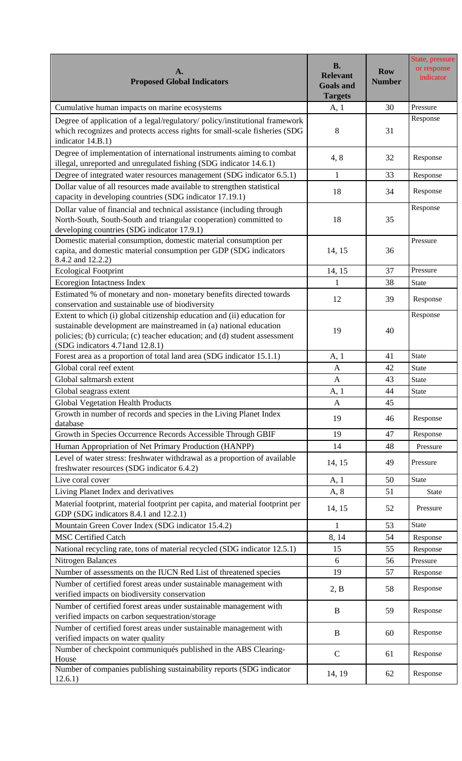| A.<br><b>Proposed Global Indicators</b>                                                                                                                                                                                                                         | <b>B.</b><br><b>Relevant</b><br><b>Goals and</b><br><b>Targets</b> | <b>Row</b><br><b>Number</b> | State, pressure<br>or response<br>indicator |
|-----------------------------------------------------------------------------------------------------------------------------------------------------------------------------------------------------------------------------------------------------------------|--------------------------------------------------------------------|-----------------------------|---------------------------------------------|
| Cumulative human impacts on marine ecosystems                                                                                                                                                                                                                   | A, 1                                                               | 30                          | Pressure                                    |
| Degree of application of a legal/regulatory/ policy/institutional framework<br>which recognizes and protects access rights for small-scale fisheries (SDG<br>indicator 14.B.1)                                                                                  | 8                                                                  | 31                          | Response                                    |
| Degree of implementation of international instruments aiming to combat<br>illegal, unreported and unregulated fishing (SDG indicator 14.6.1)                                                                                                                    | 4, 8                                                               | 32                          | Response                                    |
| Degree of integrated water resources management (SDG indicator 6.5.1)                                                                                                                                                                                           | $\mathbf{1}$                                                       | 33                          | Response                                    |
| Dollar value of all resources made available to strengthen statistical<br>capacity in developing countries (SDG indicator 17.19.1)                                                                                                                              | 18                                                                 | 34                          | Response                                    |
| Dollar value of financial and technical assistance (including through<br>North-South, South-South and triangular cooperation) committed to<br>developing countries (SDG indicator 17.9.1)                                                                       | 18                                                                 | 35                          | Response                                    |
| Domestic material consumption, domestic material consumption per<br>capita, and domestic material consumption per GDP (SDG indicators<br>8.4.2 and 12.2.2)                                                                                                      | 14, 15                                                             | 36                          | Pressure                                    |
| <b>Ecological Footprint</b>                                                                                                                                                                                                                                     | 14, 15                                                             | 37                          | Pressure                                    |
| Ecoregion Intactness Index                                                                                                                                                                                                                                      | 1                                                                  | 38                          | <b>State</b>                                |
| Estimated % of monetary and non-monetary benefits directed towards<br>conservation and sustainable use of biodiversity                                                                                                                                          | 12                                                                 | 39                          | Response                                    |
| Extent to which (i) global citizenship education and (ii) education for<br>sustainable development are mainstreamed in (a) national education<br>policies; (b) curricula; (c) teacher education; and (d) student assessment<br>(SDG indicators 4.71 and 12.8.1) | 19                                                                 | 40                          | Response                                    |
| Forest area as a proportion of total land area (SDG indicator 15.1.1)                                                                                                                                                                                           | A, 1                                                               | 41                          | <b>State</b>                                |
| Global coral reef extent                                                                                                                                                                                                                                        | $\mathbf{A}$                                                       | 42                          | <b>State</b>                                |
| Global saltmarsh extent                                                                                                                                                                                                                                         | A                                                                  | 43                          | <b>State</b>                                |
| Global seagrass extent                                                                                                                                                                                                                                          | A, 1                                                               | 44                          | State                                       |
| <b>Global Vegetation Health Products</b>                                                                                                                                                                                                                        | $\mathbf{A}$                                                       | 45                          |                                             |
| Growth in number of records and species in the Living Planet Index<br>database                                                                                                                                                                                  | 19                                                                 | 46                          | Response                                    |
| Growth in Species Occurrence Records Accessible Through GBIF                                                                                                                                                                                                    | 19                                                                 | 47                          | Response                                    |
| Human Appropriation of Net Primary Production (HANPP)                                                                                                                                                                                                           | 14                                                                 | 48                          | Pressure                                    |
| Level of water stress: freshwater withdrawal as a proportion of available<br>freshwater resources (SDG indicator 6.4.2)                                                                                                                                         | 14, 15                                                             | 49                          | Pressure                                    |
| Live coral cover                                                                                                                                                                                                                                                | A, 1                                                               | 50                          | <b>State</b>                                |
| Living Planet Index and derivatives                                                                                                                                                                                                                             | A, 8                                                               | 51                          | <b>State</b>                                |
| Material footprint, material footprint per capita, and material footprint per<br>GDP (SDG indicators 8.4.1 and 12.2.1)                                                                                                                                          | 14, 15                                                             | 52                          | Pressure                                    |
| Mountain Green Cover Index (SDG indicator 15.4.2)                                                                                                                                                                                                               | $\mathbf{1}$                                                       | 53                          | <b>State</b>                                |
| <b>MSC Certified Catch</b>                                                                                                                                                                                                                                      | 8, 14                                                              | 54                          | Response                                    |
| National recycling rate, tons of material recycled (SDG indicator 12.5.1)                                                                                                                                                                                       | 15                                                                 | 55                          | Response                                    |
| <b>Nitrogen Balances</b>                                                                                                                                                                                                                                        | 6                                                                  | 56                          | Pressure                                    |
| Number of assessments on the IUCN Red List of threatened species                                                                                                                                                                                                | 19                                                                 | 57                          | Response                                    |
| Number of certified forest areas under sustainable management with<br>verified impacts on biodiversity conservation                                                                                                                                             | 2, B                                                               | 58                          | Response                                    |
| Number of certified forest areas under sustainable management with<br>verified impacts on carbon sequestration/storage                                                                                                                                          | $\bf{B}$                                                           | 59                          | Response                                    |
| Number of certified forest areas under sustainable management with<br>verified impacts on water quality                                                                                                                                                         | $\bf{B}$                                                           | 60                          | Response                                    |
| Number of checkpoint communiqués published in the ABS Clearing-<br>House                                                                                                                                                                                        | $\mathcal{C}$                                                      | 61                          | Response                                    |
| Number of companies publishing sustainability reports (SDG indicator<br>12.6.1)                                                                                                                                                                                 | 14, 19                                                             | 62                          | Response                                    |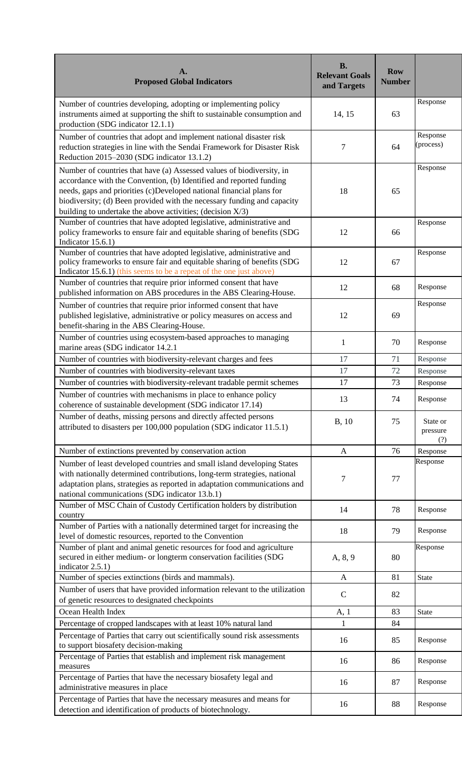| A.<br><b>Proposed Global Indicators</b>                                                                                                                                                                                                                                                                                                                       | <b>B.</b><br><b>Relevant Goals</b><br>and Targets | <b>Row</b><br><b>Number</b> |                             |
|---------------------------------------------------------------------------------------------------------------------------------------------------------------------------------------------------------------------------------------------------------------------------------------------------------------------------------------------------------------|---------------------------------------------------|-----------------------------|-----------------------------|
| Number of countries developing, adopting or implementing policy<br>instruments aimed at supporting the shift to sustainable consumption and<br>production (SDG indicator 12.1.1)                                                                                                                                                                              | 14, 15                                            | 63                          | Response                    |
| Number of countries that adopt and implement national disaster risk<br>reduction strategies in line with the Sendai Framework for Disaster Risk<br>Reduction 2015-2030 (SDG indicator 13.1.2)                                                                                                                                                                 | 7                                                 | 64                          | Response<br>(process)       |
| Number of countries that have (a) Assessed values of biodiversity, in<br>accordance with the Convention, (b) Identified and reported funding<br>needs, gaps and priorities (c)Developed national financial plans for<br>biodiversity; (d) Been provided with the necessary funding and capacity<br>building to undertake the above activities; (decision X/3) | 18                                                | 65                          | Response                    |
| Number of countries that have adopted legislative, administrative and<br>policy frameworks to ensure fair and equitable sharing of benefits (SDG<br>Indicator $15.6.1$ )                                                                                                                                                                                      | 12                                                | 66                          | Response                    |
| Number of countries that have adopted legislative, administrative and<br>policy frameworks to ensure fair and equitable sharing of benefits (SDG<br>Indicator 15.6.1) (this seems to be a repeat of the one just above)                                                                                                                                       | 12                                                | 67                          | Response                    |
| Number of countries that require prior informed consent that have<br>published information on ABS procedures in the ABS Clearing-House.                                                                                                                                                                                                                       | 12                                                | 68                          | Response                    |
| Number of countries that require prior informed consent that have<br>published legislative, administrative or policy measures on access and<br>benefit-sharing in the ABS Clearing-House.                                                                                                                                                                     | 12                                                | 69                          | Response                    |
| Number of countries using ecosystem-based approaches to managing<br>marine areas (SDG indicator 14.2.1                                                                                                                                                                                                                                                        | $\mathbf{1}$                                      | 70                          | Response                    |
| Number of countries with biodiversity-relevant charges and fees                                                                                                                                                                                                                                                                                               | 17                                                | 71                          | Response                    |
| Number of countries with biodiversity-relevant taxes                                                                                                                                                                                                                                                                                                          | 17                                                | 72                          | Response                    |
| Number of countries with biodiversity-relevant tradable permit schemes                                                                                                                                                                                                                                                                                        | 17                                                | 73                          | Response                    |
| Number of countries with mechanisms in place to enhance policy<br>coherence of sustainable development (SDG indicator 17.14)                                                                                                                                                                                                                                  | 13                                                | 74                          | Response                    |
| Number of deaths, missing persons and directly affected persons<br>attributed to disasters per 100,000 population (SDG indicator 11.5.1)                                                                                                                                                                                                                      | B, 10                                             | 75                          | State or<br>pressure<br>(?) |
| Number of extinctions prevented by conservation action                                                                                                                                                                                                                                                                                                        | A                                                 | 76                          | Response                    |
| Number of least developed countries and small island developing States<br>with nationally determined contributions, long-term strategies, national<br>adaptation plans, strategies as reported in adaptation communications and<br>national communications (SDG indicator 13.b.1)                                                                             | 7                                                 | 77                          | Response                    |
| Number of MSC Chain of Custody Certification holders by distribution<br>country                                                                                                                                                                                                                                                                               | 14                                                | 78                          | Response                    |
| Number of Parties with a nationally determined target for increasing the<br>level of domestic resources, reported to the Convention                                                                                                                                                                                                                           | 18                                                | 79                          | Response                    |
| Number of plant and animal genetic resources for food and agriculture<br>secured in either medium- or longterm conservation facilities (SDG<br>indicator 2.5.1)                                                                                                                                                                                               | A, 8, 9                                           | 80                          | Response                    |
| Number of species extinctions (birds and mammals).                                                                                                                                                                                                                                                                                                            | A                                                 | 81                          | State                       |
| Number of users that have provided information relevant to the utilization<br>of genetic resources to designated checkpoints                                                                                                                                                                                                                                  | $\mathbf C$                                       | 82                          |                             |
| Ocean Health Index                                                                                                                                                                                                                                                                                                                                            | A, 1                                              | 83                          | <b>State</b>                |
| Percentage of cropped landscapes with at least 10% natural land                                                                                                                                                                                                                                                                                               | 1                                                 | 84                          |                             |
| Percentage of Parties that carry out scientifically sound risk assessments<br>to support biosafety decision-making                                                                                                                                                                                                                                            | 16                                                | 85                          | Response                    |
| Percentage of Parties that establish and implement risk management<br>measures                                                                                                                                                                                                                                                                                | 16                                                | 86                          | Response                    |
| Percentage of Parties that have the necessary biosafety legal and<br>administrative measures in place                                                                                                                                                                                                                                                         | 16                                                | 87                          | Response                    |
| Percentage of Parties that have the necessary measures and means for<br>detection and identification of products of biotechnology.                                                                                                                                                                                                                            | 16                                                | 88                          | Response                    |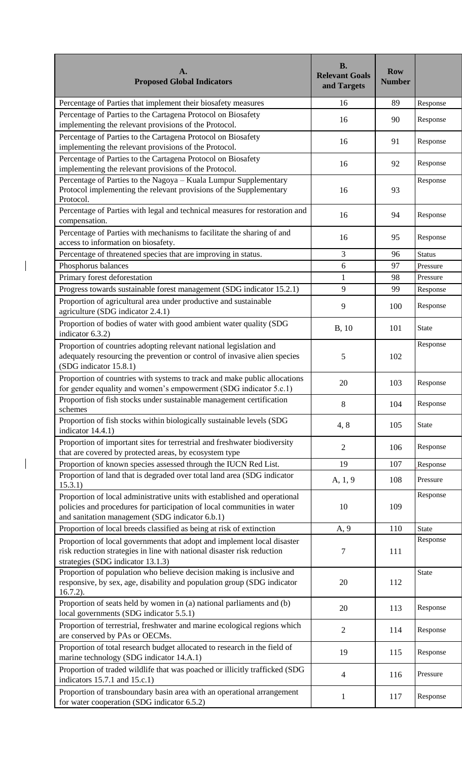| <b>Proposed Global Indicators</b>                                                                                                                                                                       | <b>Number</b><br>and Targets | <b>Row</b>    |
|---------------------------------------------------------------------------------------------------------------------------------------------------------------------------------------------------------|------------------------------|---------------|
| Percentage of Parties that implement their biosafety measures                                                                                                                                           | 89<br>16                     | Response      |
| Percentage of Parties to the Cartagena Protocol on Biosafety<br>implementing the relevant provisions of the Protocol.                                                                                   | 16<br>90                     | Response      |
| Percentage of Parties to the Cartagena Protocol on Biosafety<br>implementing the relevant provisions of the Protocol.                                                                                   | 16<br>91                     | Response      |
| Percentage of Parties to the Cartagena Protocol on Biosafety<br>implementing the relevant provisions of the Protocol.                                                                                   | 92<br>16                     | Response      |
| Percentage of Parties to the Nagoya - Kuala Lumpur Supplementary<br>Protocol implementing the relevant provisions of the Supplementary<br>Protocol.                                                     | 93<br>16                     | Response      |
| Percentage of Parties with legal and technical measures for restoration and<br>compensation.                                                                                                            | 16<br>94                     | Response      |
| Percentage of Parties with mechanisms to facilitate the sharing of and<br>access to information on biosafety.                                                                                           | 16<br>95                     | Response      |
| Percentage of threatened species that are improving in status.                                                                                                                                          | 3<br>96                      | <b>Status</b> |
| Phosphorus balances                                                                                                                                                                                     | 6<br>97                      | Pressure      |
| Primary forest deforestation                                                                                                                                                                            | $\mathbf{1}$<br>98           | Pressure      |
| Progress towards sustainable forest management (SDG indicator 15.2.1)                                                                                                                                   | 9<br>99                      | Response      |
| Proportion of agricultural area under productive and sustainable<br>agriculture (SDG indicator 2.4.1)                                                                                                   | 9<br>100                     | Response      |
| Proportion of bodies of water with good ambient water quality (SDG<br>indicator 6.3.2)                                                                                                                  | <b>B</b> , 10<br>101         | <b>State</b>  |
| Proportion of countries adopting relevant national legislation and<br>adequately resourcing the prevention or control of invasive alien species<br>(SDG indicator 15.8.1)                               | 5<br>102                     | Response      |
| Proportion of countries with systems to track and make public allocations<br>for gender equality and women's empowerment (SDG indicator 5.c.1)                                                          | 20<br>103                    | Response      |
| Proportion of fish stocks under sustainable management certification<br>schemes                                                                                                                         | 8<br>104                     | Response      |
| Proportion of fish stocks within biologically sustainable levels (SDG<br>indicator 14.4.1)                                                                                                              | 4,8<br>105                   | <b>State</b>  |
| Proportion of important sites for terrestrial and freshwater biodiversity<br>that are covered by protected areas, by ecosystem type                                                                     | $\overline{2}$<br>106        | Response      |
| Proportion of known species assessed through the IUCN Red List.                                                                                                                                         | 19<br>107                    | Response      |
| Proportion of land that is degraded over total land area (SDG indicator<br>15.3.1)                                                                                                                      | A, 1, 9<br>108               | Pressure      |
| Proportion of local administrative units with established and operational<br>policies and procedures for participation of local communities in water<br>and sanitation management (SDG indicator 6.b.1) | 10<br>109                    | Response      |
| Proportion of local breeds classified as being at risk of extinction                                                                                                                                    | A, 9<br>110                  | <b>State</b>  |
| Proportion of local governments that adopt and implement local disaster<br>risk reduction strategies in line with national disaster risk reduction<br>strategies (SDG indicator 13.1.3)                 | 7<br>111                     | Response      |
| Proportion of population who believe decision making is inclusive and<br>responsive, by sex, age, disability and population group (SDG indicator<br>$16.7.2$ ).                                         | 20<br>112                    | <b>State</b>  |
| Proportion of seats held by women in (a) national parliaments and (b)<br>local governments (SDG indicator 5.5.1)                                                                                        | 20<br>113                    | Response      |
| Proportion of terrestrial, freshwater and marine ecological regions which<br>are conserved by PAs or OECMs.                                                                                             | $\overline{2}$<br>114        | Response      |
| Proportion of total research budget allocated to research in the field of<br>marine technology (SDG indicator 14.A.1)                                                                                   | 19<br>115                    | Response      |
| Proportion of traded wildlife that was poached or illicitly trafficked (SDG<br>indicators $15.7.1$ and $15.c.1$ )                                                                                       | $\overline{4}$<br>116        | Pressure      |
| Proportion of transboundary basin area with an operational arrangement<br>for water cooperation (SDG indicator 6.5.2)                                                                                   | 117<br>1                     | Response      |

 $\overline{\phantom{a}}$ 

 $\overline{\mathbf{I}}$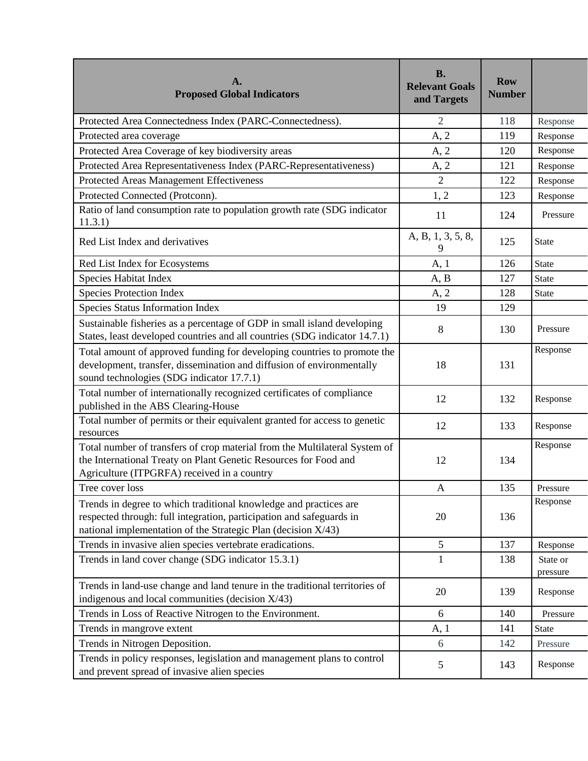| A.<br><b>Proposed Global Indicators</b>                                                                                                                                                                    | <b>B.</b><br><b>Relevant Goals</b><br>and Targets | <b>Row</b><br><b>Number</b> |                      |
|------------------------------------------------------------------------------------------------------------------------------------------------------------------------------------------------------------|---------------------------------------------------|-----------------------------|----------------------|
| Protected Area Connectedness Index (PARC-Connectedness).                                                                                                                                                   | $\overline{2}$                                    | 118                         | Response             |
| Protected area coverage                                                                                                                                                                                    | A, 2                                              | 119                         | Response             |
| Protected Area Coverage of key biodiversity areas                                                                                                                                                          | A, 2                                              | 120                         | Response             |
| Protected Area Representativeness Index (PARC-Representativeness)                                                                                                                                          | A, 2                                              | 121                         | Response             |
| Protected Areas Management Effectiveness                                                                                                                                                                   | $\overline{2}$                                    | 122                         | Response             |
| Protected Connected (Protconn).                                                                                                                                                                            | 1, 2                                              | 123                         | Response             |
| Ratio of land consumption rate to population growth rate (SDG indicator<br>11.3.1)                                                                                                                         | 11                                                | 124                         | Pressure             |
| Red List Index and derivatives                                                                                                                                                                             | A, B, 1, 3, 5, 8,<br>9                            | 125                         | <b>State</b>         |
| Red List Index for Ecosystems                                                                                                                                                                              | A, 1                                              | 126                         | State                |
| Species Habitat Index                                                                                                                                                                                      | A, B                                              | 127                         | <b>State</b>         |
| <b>Species Protection Index</b>                                                                                                                                                                            | A, 2                                              | 128                         | <b>State</b>         |
| Species Status Information Index                                                                                                                                                                           | 19                                                | 129                         |                      |
| Sustainable fisheries as a percentage of GDP in small island developing<br>States, least developed countries and all countries (SDG indicator 14.7.1)                                                      | 8                                                 | 130                         | Pressure             |
| Total amount of approved funding for developing countries to promote the<br>development, transfer, dissemination and diffusion of environmentally<br>sound technologies (SDG indicator 17.7.1)             | 18                                                | 131                         | Response             |
| Total number of internationally recognized certificates of compliance<br>published in the ABS Clearing-House                                                                                               | 12                                                | 132                         | Response             |
| Total number of permits or their equivalent granted for access to genetic<br>resources                                                                                                                     | 12                                                | 133                         | Response             |
| Total number of transfers of crop material from the Multilateral System of<br>the International Treaty on Plant Genetic Resources for Food and<br>Agriculture (ITPGRFA) received in a country              | 12                                                | 134                         | Response             |
| Tree cover loss                                                                                                                                                                                            | $\mathbf{A}$                                      | 135                         | Pressure             |
| Trends in degree to which traditional knowledge and practices are<br>respected through: full integration, participation and safeguards in<br>national implementation of the Strategic Plan (decision X/43) | 20                                                | 136                         | Response             |
| Trends in invasive alien species vertebrate eradications.                                                                                                                                                  | 5                                                 | 137                         | Response             |
| Trends in land cover change (SDG indicator 15.3.1)                                                                                                                                                         | 1                                                 | 138                         | State or<br>pressure |
| Trends in land-use change and land tenure in the traditional territories of<br>indigenous and local communities (decision $X/43$ )                                                                         | 20                                                | 139                         | Response             |
| Trends in Loss of Reactive Nitrogen to the Environment.                                                                                                                                                    | 6                                                 | 140                         | Pressure             |
| Trends in mangrove extent                                                                                                                                                                                  | A, 1                                              | 141                         | State                |
| Trends in Nitrogen Deposition.                                                                                                                                                                             | 6                                                 | 142                         | Pressure             |
| Trends in policy responses, legislation and management plans to control<br>and prevent spread of invasive alien species                                                                                    | 5                                                 | 143                         | Response             |